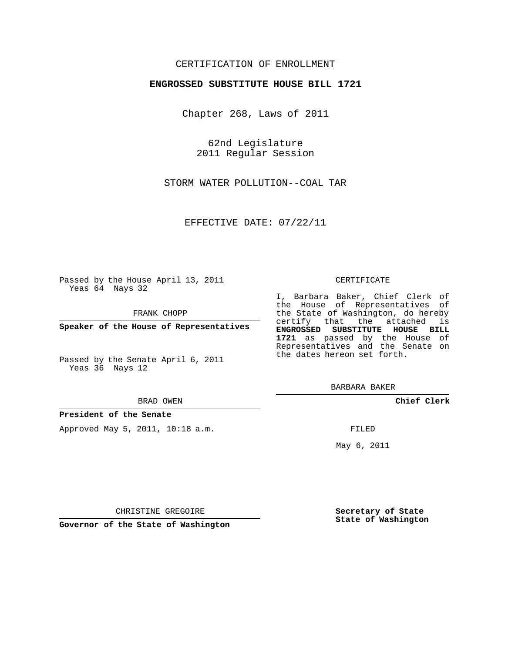# CERTIFICATION OF ENROLLMENT

## **ENGROSSED SUBSTITUTE HOUSE BILL 1721**

Chapter 268, Laws of 2011

62nd Legislature 2011 Regular Session

STORM WATER POLLUTION--COAL TAR

EFFECTIVE DATE: 07/22/11

Passed by the House April 13, 2011 Yeas 64 Nays 32

FRANK CHOPP

**Speaker of the House of Representatives**

Passed by the Senate April 6, 2011 Yeas 36 Nays 12

#### BRAD OWEN

### **President of the Senate**

Approved May 5, 2011, 10:18 a.m.

#### CERTIFICATE

I, Barbara Baker, Chief Clerk of the House of Representatives of the State of Washington, do hereby certify that the attached is **ENGROSSED SUBSTITUTE HOUSE BILL 1721** as passed by the House of Representatives and the Senate on the dates hereon set forth.

BARBARA BAKER

**Chief Clerk**

FILED

May 6, 2011

**Secretary of State State of Washington**

CHRISTINE GREGOIRE

**Governor of the State of Washington**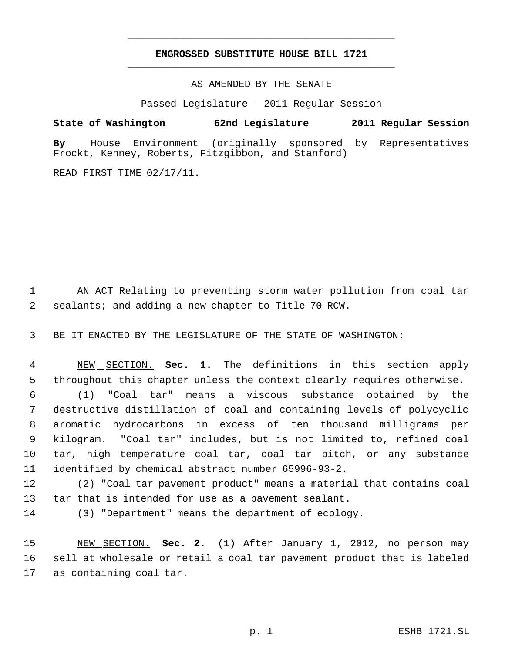# **ENGROSSED SUBSTITUTE HOUSE BILL 1721** \_\_\_\_\_\_\_\_\_\_\_\_\_\_\_\_\_\_\_\_\_\_\_\_\_\_\_\_\_\_\_\_\_\_\_\_\_\_\_\_\_\_\_\_\_

\_\_\_\_\_\_\_\_\_\_\_\_\_\_\_\_\_\_\_\_\_\_\_\_\_\_\_\_\_\_\_\_\_\_\_\_\_\_\_\_\_\_\_\_\_

AS AMENDED BY THE SENATE

Passed Legislature - 2011 Regular Session

**State of Washington 62nd Legislature 2011 Regular Session**

**By** House Environment (originally sponsored by Representatives Frockt, Kenney, Roberts, Fitzgibbon, and Stanford)

READ FIRST TIME 02/17/11.

 AN ACT Relating to preventing storm water pollution from coal tar sealants; and adding a new chapter to Title 70 RCW.

BE IT ENACTED BY THE LEGISLATURE OF THE STATE OF WASHINGTON:

 NEW SECTION. **Sec. 1.** The definitions in this section apply throughout this chapter unless the context clearly requires otherwise.

 (1) "Coal tar" means a viscous substance obtained by the destructive distillation of coal and containing levels of polycyclic aromatic hydrocarbons in excess of ten thousand milligrams per kilogram. "Coal tar" includes, but is not limited to, refined coal tar, high temperature coal tar, coal tar pitch, or any substance identified by chemical abstract number 65996-93-2.

 (2) "Coal tar pavement product" means a material that contains coal tar that is intended for use as a pavement sealant.

(3) "Department" means the department of ecology.

 NEW SECTION. **Sec. 2.** (1) After January 1, 2012, no person may sell at wholesale or retail a coal tar pavement product that is labeled as containing coal tar.